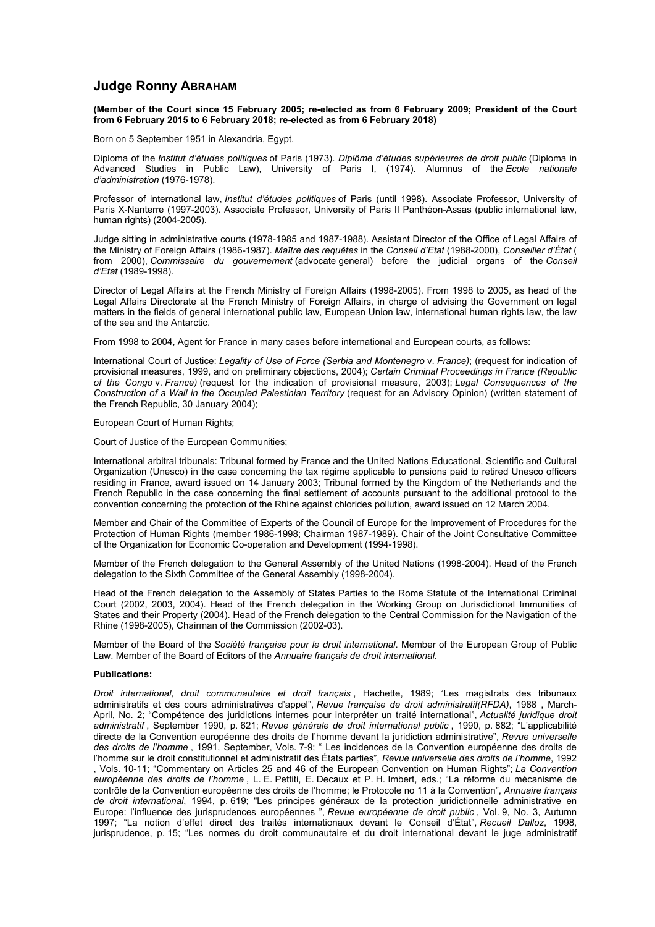## **Judge Ronny ABRAHAM**

## **(Member of the Court since 15 February 2005; re-elected as from 6 February 2009; President of the Court from 6 February 2015 to 6 February 2018; re-elected as from 6 February 2018)**

Born on 5 September 1951 in Alexandria, Egypt.

Diploma of the *Institut d'études politiques* of Paris (1973). *Diplôme d'études supérieures de droit public* (Diploma in Advanced Studies in Public Law), University of Paris I, (1974). Alumnus of the *Ecole nationale d'administration* (1976-1978).

Professor of international law, *Institut d'études politiques* of Paris (until 1998). Associate Professor, University of Paris X-Nanterre (1997-2003). Associate Professor, University of Paris II Panthéon-Assas (public international law, human rights) (2004-2005).

Judge sitting in administrative courts (1978-1985 and 1987-1988). Assistant Director of the Office of Legal Affairs of the Ministry of Foreign Affairs (1986-1987). *Maître des requêtes* in the *Conseil d'Etat* (1988-2000), *Conseiller d'État* ( from 2000), *Commissaire du gouvernement* (advocate general) before the judicial organs of the *Conseil d'Etat* (1989-1998).

Director of Legal Affairs at the French Ministry of Foreign Affairs (1998-2005). From 1998 to 2005, as head of the Legal Affairs Directorate at the French Ministry of Foreign Affairs, in charge of advising the Government on legal matters in the fields of general international public law, European Union law, international human rights law, the law of the sea and the Antarctic.

From 1998 to 2004, Agent for France in many cases before international and European courts, as follows:

International Court of Justice: *Legality of Use of Force (Serbia and Montenegro* v. *France)*; (request for indication of provisional measures, 1999, and on preliminary objections, 2004); *Certain Criminal Proceedings in France (Republic of the Congo* v. *France)* (request for the indication of provisional measure, 2003); *Legal Consequences of the Construction of a Wall in the Occupied Palestinian Territory* (request for an Advisory Opinion) (written statement of the French Republic, 30 January 2004);

## European Court of Human Rights;

Court of Justice of the European Communities;

International arbitral tribunals: Tribunal formed by France and the United Nations Educational, Scientific and Cultural Organization (Unesco) in the case concerning the tax régime applicable to pensions paid to retired Unesco officers residing in France, award issued on 14 January 2003; Tribunal formed by the Kingdom of the Netherlands and the French Republic in the case concerning the final settlement of accounts pursuant to the additional protocol to the convention concerning the protection of the Rhine against chlorides pollution, award issued on 12 March 2004.

Member and Chair of the Committee of Experts of the Council of Europe for the Improvement of Procedures for the Protection of Human Rights (member 1986-1998; Chairman 1987-1989). Chair of the Joint Consultative Committee of the Organization for Economic Co-operation and Development (1994-1998).

Member of the French delegation to the General Assembly of the United Nations (1998-2004). Head of the French delegation to the Sixth Committee of the General Assembly (1998-2004).

Head of the French delegation to the Assembly of States Parties to the Rome Statute of the International Criminal Court (2002, 2003, 2004). Head of the French delegation in the Working Group on Jurisdictional Immunities of States and their Property (2004). Head of the French delegation to the Central Commission for the Navigation of the Rhine (1998-2005), Chairman of the Commission (2002-03).

Member of the Board of the *Société française pour le droit international*. Member of the European Group of Public Law. Member of the Board of Editors of the *Annuaire français de droit international*.

## **Publications:**

*Droit international, droit communautaire et droit français* , Hachette, 1989; "Les magistrats des tribunaux administratifs et des cours administratives d'appel", *Revue française de droit administratif(RFDA)*, 1988 , March-April, No. 2; "Compétence des juridictions internes pour interpréter un traité international", *Actualité juridique droit administratif* , September 1990, p. 621; *Revue générale de droit international public* , 1990, p. 882; "L'applicabilité directe de la Convention européenne des droits de l'homme devant la juridiction administrative", *Revue universelle des droits de l'homme* , 1991, September, Vols. 7-9; " Les incidences de la Convention européenne des droits de l'homme sur le droit constitutionnel et administratif des États parties", *Revue universelle des droits de l'homme*, 1992 , Vols. 10-11; "Commentary on Articles 25 and 46 of the European Convention on Human Rights"; *La Convention européenne des droits de l'homme* , L. E. Pettiti, E. Decaux et P. H. Imbert, eds.; "La réforme du mécanisme de contrôle de la Convention européenne des droits de l'homme; le Protocole no 11 à la Convention", *Annuaire français de droit international*, 1994, p. 619; "Les principes généraux de la protection juridictionnelle administrative en Europe: l'influence des jurisprudences européennes ", *Revue européenne de droit public* , Vol. 9, No. 3, Autumn 1997; "La notion d'effet direct des traités internationaux devant le Conseil d'État", *Recueil Dalloz*, 1998, jurisprudence, p. 15; "Les normes du droit communautaire et du droit international devant le juge administratif